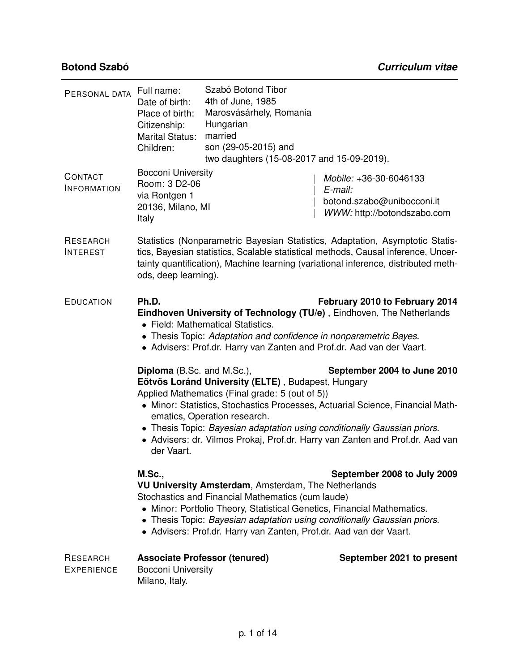| RESEARCH<br><b>EXPERIENCE</b> | <b>Bocconi University</b><br>Milano, Italy.                                                                                                                                                                                                                                                                                                                                                                                                                            | <b>Associate Professor (tenured)</b>                                                                                                                             | September 2021 to present                                                                      |  |
|-------------------------------|------------------------------------------------------------------------------------------------------------------------------------------------------------------------------------------------------------------------------------------------------------------------------------------------------------------------------------------------------------------------------------------------------------------------------------------------------------------------|------------------------------------------------------------------------------------------------------------------------------------------------------------------|------------------------------------------------------------------------------------------------|--|
|                               | <b>M.Sc.,</b><br>September 2008 to July 2009<br>VU University Amsterdam, Amsterdam, The Netherlands<br>Stochastics and Financial Mathematics (cum laude)<br>• Minor: Portfolio Theory, Statistical Genetics, Financial Mathematics.<br>• Thesis Topic: Bayesian adaptation using conditionally Gaussian priors.<br>• Advisers: Prof.dr. Harry van Zanten, Prof.dr. Aad van der Vaart.                                                                                  |                                                                                                                                                                  |                                                                                                |  |
|                               | September 2004 to June 2010<br><b>Diploma</b> (B.Sc. and M.Sc.),<br>Eötvös Loránd University (ELTE), Budapest, Hungary<br>Applied Mathematics (Final grade: 5 (out of 5))<br>• Minor: Statistics, Stochastics Processes, Actuarial Science, Financial Math-<br>ematics, Operation research.<br>• Thesis Topic: Bayesian adaptation using conditionally Gaussian priors.<br>• Advisers: dr. Vilmos Prokaj, Prof.dr. Harry van Zanten and Prof.dr. Aad van<br>der Vaart. |                                                                                                                                                                  |                                                                                                |  |
| <b>EDUCATION</b>              | Ph.D.<br>February 2010 to February 2014<br>Eindhoven University of Technology (TU/e), Eindhoven, The Netherlands<br>• Field: Mathematical Statistics.<br>• Thesis Topic: Adaptation and confidence in nonparametric Bayes.<br>• Advisers: Prof.dr. Harry van Zanten and Prof.dr. Aad van der Vaart.                                                                                                                                                                    |                                                                                                                                                                  |                                                                                                |  |
| RESEARCH<br><b>INTEREST</b>   | Statistics (Nonparametric Bayesian Statistics, Adaptation, Asymptotic Statis-<br>tics, Bayesian statistics, Scalable statistical methods, Causal inference, Uncer-<br>tainty quantification), Machine learning (variational inference, distributed meth-<br>ods, deep learning).                                                                                                                                                                                       |                                                                                                                                                                  |                                                                                                |  |
| CONTACT<br><b>INFORMATION</b> | <b>Bocconi University</b><br>Room: 3 D2-06<br>via Rontgen 1<br>20136, Milano, MI<br>Italy                                                                                                                                                                                                                                                                                                                                                                              |                                                                                                                                                                  | Mobile: +36-30-6046133<br>E-mail:<br>botond.szabo@unibocconi.it<br>WWW: http://botondszabo.com |  |
| PERSONAL DATA                 | Full name:<br>Date of birth:<br>Place of birth:<br>Citizenship:<br><b>Marital Status:</b><br>Children:                                                                                                                                                                                                                                                                                                                                                                 | Szabó Botond Tibor<br>4th of June, 1985<br>Marosvásárhely, Romania<br>Hungarian<br>married<br>son (29-05-2015) and<br>two daughters (15-08-2017 and 15-09-2019). |                                                                                                |  |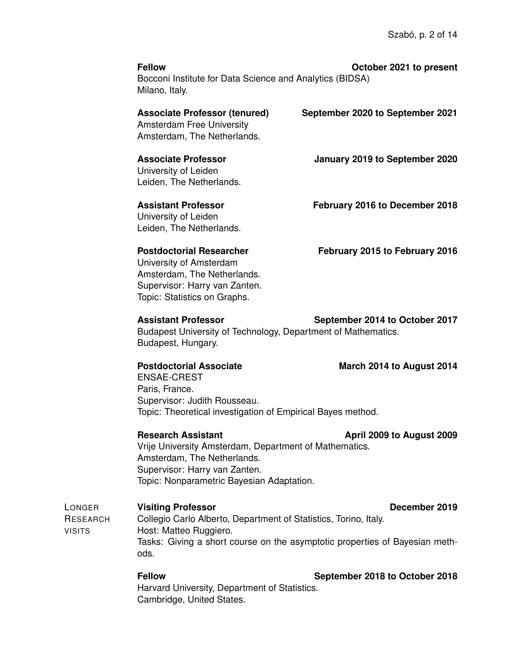**Fellow October 2021 to present** Bocconi Institute for Data Science and Analytics (BIDSA) Milano, Italy.

| <b>Associate Professor (tenured)</b><br><b>Amsterdam Free University</b><br>Amsterdam, The Netherlands. | September 2020 to September 2021 |
|---------------------------------------------------------------------------------------------------------|----------------------------------|
| <b>Associate Professor</b><br>University of Leiden<br>Leiden, The Netherlands.                          | January 2019 to September 2020   |
| Assistant Professor<br>University of Leiden<br>Leiden, The Netherlands.                                 | February 2016 to December 2018   |
| <b>Postdoctorial Researcher</b><br>University of Amsterdam<br>Amsterdam, The Netherlands.               | February 2015 to February 2016   |

**Assistant Professor September 2014 to October 2017** Budapest University of Technology, Department of Mathematics. Budapest, Hungary.

### **Postdoctorial Associate March 2014 to August 2014**

Supervisor: Harry van Zanten. Topic: Statistics on Graphs.

ENSAE-CREST Paris, France. Supervisor: Judith Rousseau. Topic: Theoretical investigation of Empirical Bayes method.

### **Research Assistant April 2009 to August 2009**

Vrije University Amsterdam, Department of Mathematics. Amsterdam, The Netherlands. Supervisor: Harry van Zanten. Topic: Nonparametric Bayesian Adaptation.

LONGER RESEARCH VISITS **Visiting Professor** December 2019 Collegio Carlo Alberto, Department of Statistics, Torino, Italy. Host: Matteo Ruggiero. Tasks: Giving a short course on the asymptotic properties of Bayesian methods.

> **Fellow September 2018 to October 2018** Harvard University, Department of Statistics. Cambridge, United States.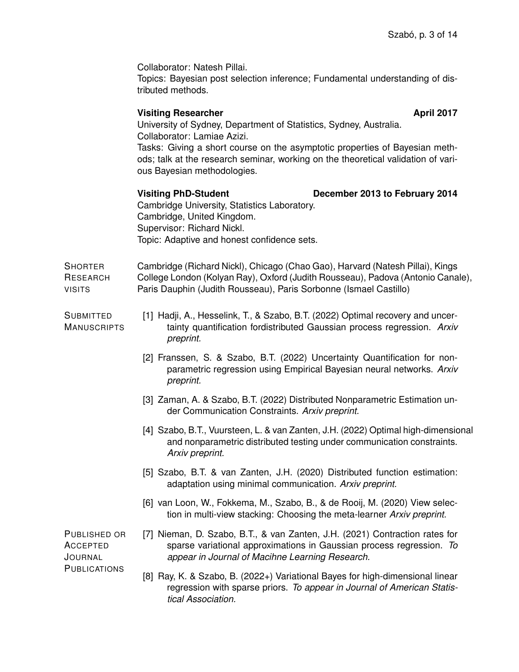Collaborator: Natesh Pillai.

Topics: Bayesian post selection inference; Fundamental understanding of distributed methods.

### **Visiting Researcher April 2017**

University of Sydney, Department of Statistics, Sydney, Australia. Collaborator: Lamiae Azizi.

Tasks: Giving a short course on the asymptotic properties of Bayesian methods; talk at the research seminar, working on the theoretical validation of various Bayesian methodologies.

# **Visiting PhD-Student December 2013 to February 2014**

Cambridge University, Statistics Laboratory. Cambridge, United Kingdom. Supervisor: Richard Nickl. Topic: Adaptive and honest confidence sets.

**SHORTER** RESEARCH VISITS Cambridge (Richard Nickl), Chicago (Chao Gao), Harvard (Natesh Pillai), Kings College London (Kolyan Ray), Oxford (Judith Rousseau), Padova (Antonio Canale), Paris Dauphin (Judith Rousseau), Paris Sorbonne (Ismael Castillo)

**SUBMITTED MANUSCRIPTS** [1] Hadji, A., Hesselink, T., & Szabo, B.T. (2022) [Optimal recovery and uncer](https://arxiv.org/pdf/2205.03150.pdf)[tainty quantification fordistributed Gaussian process regression.](https://arxiv.org/pdf/2205.03150.pdf) *Arxiv preprint.*

- [2] Franssen, S. & Szabo, B.T. (2022) [Uncertainty Quantification for non](https://arxiv.org/pdf/2204.12735.pdf)[parametric regression using Empirical Bayesian neural networks.](https://arxiv.org/pdf/2204.12735.pdf) *Arxiv preprint.*
- [3] Zaman, A. & Szabo, B.T. (2022) [Distributed Nonparametric Estimation un](https://arxiv.org/pdf/2204.10373.pdf)[der Communication Constraints.](https://arxiv.org/pdf/2204.10373.pdf) *Arxiv preprint.*
- [4] Szabo, B.T., Vuursteen, L. & van Zanten, J.H. (2022) Optimal high-dimensional and nonparametric distributed testing under communication constraints. *Arxiv preprint.*
- [5] Szabo, B.T. & van Zanten, J.H. (2020) [Distributed function estimation:](https://arxiv.org/abs/2003.12838) [adaptation using minimal communication.](https://arxiv.org/abs/2003.12838) *Arxiv preprint.*
- [6] van Loon, W., Fokkema, M., Szabo, B., & de Rooij, M. (2020) [View selec](https://arxiv.org/abs/2010.16271)[tion in multi-view stacking: Choosing the meta-learner](https://arxiv.org/abs/2010.16271) *Arxiv preprint.*

PUBLISHED OR ACCEPTED **JOURNAL PUBLICATIONS** 

- [7] Nieman, D. Szabo, B.T., & van Zanten, J.H. (2021) [Contraction rates for](https://arxiv.org/abs/2109.10755) [sparse variational approximations in Gaussian process regression.](https://arxiv.org/abs/2109.10755) *To appear in Journal of Macihne Learning Research.*
- [8] Ray, K. & Szabo, B. (2022+) [Variational Bayes for high-dimensional linear](https://arxiv.org/abs/1904.07150) [regression with sparse priors.](https://arxiv.org/abs/1904.07150) *To appear in Journal of American Statistical Association.*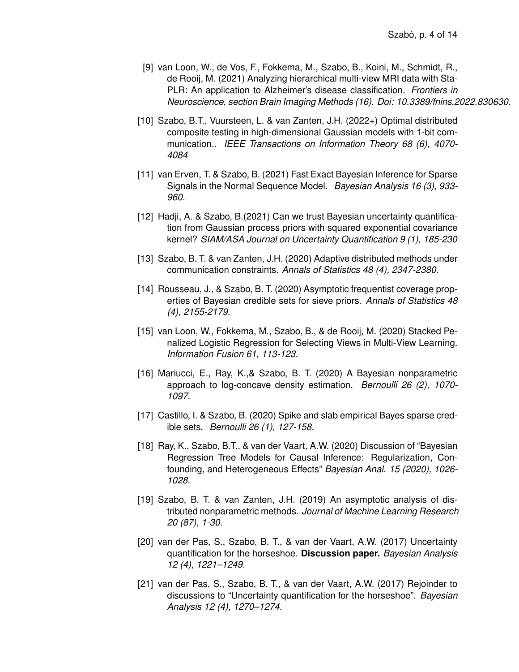- [9] van Loon, W., de Vos, F., Fokkema, M., Szabo, B., Koini, M., Schmidt, R., de Rooij, M. (2021) [Analyzing hierarchical multi-view MRI data with Sta-](https://arxiv.org/abs/2108.05761)[PLR: An application to Alzheimer's disease classification.](https://arxiv.org/abs/2108.05761) *Frontiers in Neuroscience, section Brain Imaging Methods (16). Doi: 10.3389/fnins.2022.830630.*
- [10] Szabo, B.T., Vuursteen, L. & van Zanten, J.H. (2022+) [Optimal distributed](https://arxiv.org/abs/2012.04957) [composite testing in high-dimensional Gaussian models with 1-bit com](https://arxiv.org/abs/2012.04957)[munication..](https://arxiv.org/abs/2012.04957) *IEEE Transactions on Information Theory 68 (6), 4070- 4084*
- [11] van Erven, T. & Szabo, B. (2021) [Fast Exact Bayesian Inference for Sparse](https://arxiv.org/abs/1810.10883) [Signals in the Normal Sequence Model.](https://arxiv.org/abs/1810.10883) *Bayesian Analysis 16 (3), 933- 960.*
- [12] Hadji, A. & Szabo, B.(2021) [Can we trust Bayesian uncertainty quantifica](https://arxiv.org/abs/1904.01383)[tion from Gaussian process priors with squared exponential covariance](https://arxiv.org/abs/1904.01383) [kernel?](https://arxiv.org/abs/1904.01383) *SIAM/ASA Journal on Uncertainty Quantification 9 (1), 185-230*
- [13] Szabo, B. T. & van Zanten, J.H. (2020) [Adaptive distributed methods under](https://arxiv.org/abs/1804.00864) [communication constraints.](https://arxiv.org/abs/1804.00864) *Annals of Statistics 48 (4), 2347-2380.*
- [14] Rousseau, J., & Szabo, B. T. (2020) [Asymptotic frequentist coverage prop](https://arxiv.org/pdf/1609.05067v2.pdf)[erties of Bayesian credible sets for sieve priors.](https://arxiv.org/pdf/1609.05067v2.pdf) *Annals of Statistics 48 (4), 2155-2179.*
- [15] van Loon, W., Fokkema, M., Szabo, B., & de Rooij, M. (2020) [Stacked Pe](https://arxiv.org/abs/1811.02316)[nalized Logistic Regression for Selecting Views in Multi-View Learning.](https://arxiv.org/abs/1811.02316) *Information Fusion 61, 113-123.*
- [16] Mariucci, E., Ray, K.,& Szabo, B. T. (2020) [A Bayesian nonparametric](https://arxiv.org/abs/1703.09531) [approach to log-concave density estimation.](https://arxiv.org/abs/1703.09531) *Bernoulli 26 (2), 1070- 1097.*
- [17] Castillo, I. & Szabo, B. (2020) [Spike and slab empirical Bayes sparse cred](https://arxiv.org/abs/1808.07721)[ible sets.](https://arxiv.org/abs/1808.07721) *Bernoulli 26 (1), 127-158.*
- [18] Ray, K., Szabo, B.T., & van der Vaart, A.W. (2020) Discussion of "Bayesian Regression Tree Models for Causal Inference: Regularization, Confounding, and Heterogeneous Effects" *Bayesian Anal. 15 (2020), 1026- 1028.*
- [19] Szabo, B. T. & van Zanten, J.H. (2019) [An asymptotic analysis of dis](https://arxiv.org/abs/1711.03149)[tributed nonparametric methods.](https://arxiv.org/abs/1711.03149) *Journal of Machine Learning Research 20 (87), 1-30.*
- [20] van der Pas, S., Szabo, B. T., & van der Vaart, A.W. (2017) [Uncertainty](https://projecteuclid.org/euclid.ba/1504231319.) [quantification for the horseshoe.](https://projecteuclid.org/euclid.ba/1504231319.) **Discussion paper.** *Bayesian Analysis 12 (4), 1221–1249.*
- [21] van der Pas, S., Szabo, B. T., & van der Vaart, A.W. (2017) [Rejoinder to](https://projecteuclid.org/euclid.ba/1504231319.) [discussions to "Uncertainty quantification for the horseshoe".](https://projecteuclid.org/euclid.ba/1504231319.) *Bayesian Analysis 12 (4), 1270–1274.*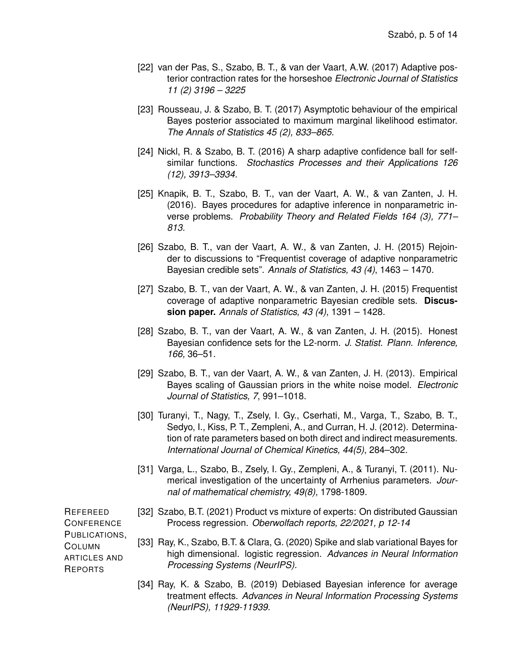- [22] van der Pas, S., Szabo, B. T., & van der Vaart, A.W. (2017) [Adaptive pos](https://projecteuclid.org/euclid.ejs/1506067214)[terior contraction rates for the horseshoe](https://projecteuclid.org/euclid.ejs/1506067214) *Electronic Journal of Statistics 11 (2) 3196 – 3225*
- [23] Rousseau, J. & Szabo, B. T. (2017) [Asymptotic behaviour of the empirical](http://arxiv.org/abs/1504.04814) [Bayes posterior associated to maximum marginal likelihood estimator.](http://arxiv.org/abs/1504.04814) *The Annals of Statistics 45 (2), 833–865.*
- [24] Nickl, R. & Szabo, B. T. (2016) [A sharp adaptive confidence ball for self](http://arxiv.org/abs/1406.3994)[similar functions.](http://arxiv.org/abs/1406.3994) *Stochastics Processes and their Applications 126 (12), 3913–3934.*
- [25] Knapik, B. T., Szabo, B. T., van der Vaart, A. W., & van Zanten, J. H. (2016). [Bayes procedures for adaptive inference in nonparametric in](http://arxiv.org/abs/1209.3628)[verse problems.](http://arxiv.org/abs/1209.3628) *Probability Theory and Related Fields 164 (3), 771– 813.*
- [26] Szabo, B. T., van der Vaart, A. W., & van Zanten, J. H. (2015) Rejoinder to discussions to "Frequentist coverage of adaptive nonparametric Bayesian credible sets". *Annals of Statistics, 43 (4)*, 1463 – 1470.
- [27] Szabo, B. T., van der Vaart, A. W., & van Zanten, J. H. (2015) [Frequentist](http://arxiv.org/abs/1310.4489) [coverage of adaptive nonparametric Bayesian credible sets.](http://arxiv.org/abs/1310.4489) **Discussion paper.** *Annals of Statistics, 43 (4)*, 1391 – 1428.
- [28] Szabo, B. T., van der Vaart, A. W., & van Zanten, J. H. (2015). [Honest](http://dx.doi.org/10.1016/j.jspi.2014.06.005) [Bayesian confidence sets for the L2-norm.](http://dx.doi.org/10.1016/j.jspi.2014.06.005) *J. Statist. Plann. Inference, 166,* 36–51.
- [29] Szabo, B. T., van der Vaart, A. W., & van Zanten, J. H. (2013). [Empirical](http://projecteuclid.org/DPubS?service=UI&version=1.0&verb=Display&handle=euclid.ejs/1366031048) [Bayes scaling of Gaussian priors in the white noise model.](http://projecteuclid.org/DPubS?service=UI&version=1.0&verb=Display&handle=euclid.ejs/1366031048) *Electronic Journal of Statistics, 7*, 991–1018.
- [30] Turanyi, T., Nagy, T., Zsely, I. Gy., Cserhati, M., Varga, T., Szabo, B. T., Sedyo, I., Kiss, P. T., Zempleni, A., and Curran, H. J. (2012). [Determina](http://onlinelibrary.wiley.com/doi/10.1002/kin.20717/full)[tion of rate parameters based on both direct and indirect measurements.](http://onlinelibrary.wiley.com/doi/10.1002/kin.20717/full) *International Journal of Chemical Kinetics, 44(5)*, 284–302.
- [31] Varga, L., Szabo, B., Zsely, I. Gy., Zempleni, A., & Turanyi, T. (2011). [Nu](http://link.springer.com/article/10.1007%2Fs10910-011-9859-7?LI=true)[merical investigation of the uncertainty of Arrhenius parameters.](http://link.springer.com/article/10.1007%2Fs10910-011-9859-7?LI=true) *Journal of mathematical chemistry, 49(8),* 1798-1809.

REFEREED **CONFERENCE** PUBLICATIONS, COLUMN ARTICLES AND REPORTS

- [32] Szabo, B.T. (2021) Product vs mixture of experts: On distributed Gaussian Process regression. *Oberwolfach reports, 22/2021, p 12-14*
- [33] Ray, K., Szabo, B.T. & Clara, G. (2020) Spike and slab variational Bayes for high dimensional. logistic regression. *Advances in Neural Information Processing Systems (NeurIPS).*
- [34] Ray, K. & Szabo, B. (2019) Debiased Bayesian inference for average treatment effects. *Advances in Neural Information Processing Systems (NeurIPS), 11929-11939.*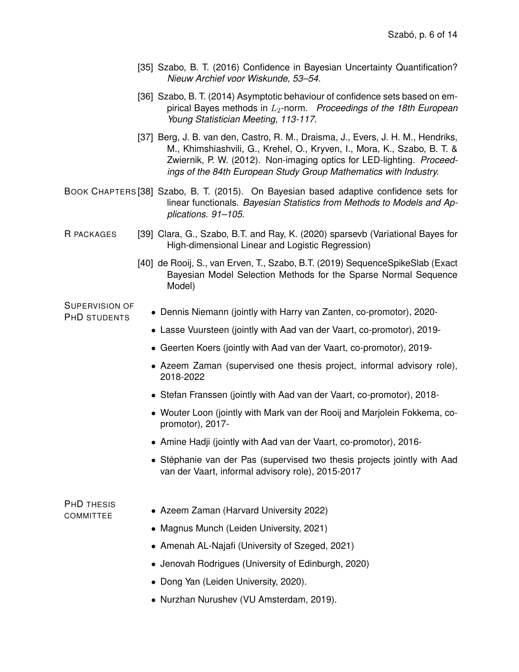- [35] Szabo, B. T. (2016) Confidence in Bayesian Uncertainty Quantification? *Nieuw Archief voor Wiskunde, 53–54.*
- [36] Szabo, B. T. (2014) Asymptotic behaviour of confidence sets based on empirical Bayes methods in L2-norm. *Proceedings of the 18th European Young Statistician Meeting, 113-117.*
- [37] Berg, J. B. van den, Castro, R. M., Draisma, J., Evers, J. H. M., Hendriks, M., Khimshiashvili, G., Krehel, O., Kryven, I., Mora, K., Szabo, B. T. & Zwiernik, P. W. (2012). Non-imaging optics for LED-lighting. *Proceedings of the 84th European Study Group Mathematics with Industry.*
- BOOK CHAPTERS [38] Szabo, B. T. (2015). On Bayesian based adaptive confidence sets for linear functionals. *Bayesian Statistics from Methods to Models and Applications. 91–105.*
- R PACKAGES [39] Clara, G., Szabo, B.T. and Ray, K. (2020) sparsevb (Variational Bayes for High-dimensional Linear and Logistic Regression)
	- [40] de Rooij, S., van Erven, T., Szabo, B.T. (2019) SequenceSpikeSlab (Exact Bayesian Model Selection Methods for the Sparse Normal Sequence Model)

SUPERVISION OF

- PHD STUDENTS Dennis Niemann (jointly with Harry van Zanten, co-promotor), 2020-
	- Lasse Vuursteen (jointly with Aad van der Vaart, co-promotor), 2019-
	- Geerten Koers (jointly with Aad van der Vaart, co-promotor), 2019-
	- Azeem Zaman (supervised one thesis project, informal advisory role), 2018-2022
	- Stefan Franssen (jointly with Aad van der Vaart, co-promotor), 2018-
	- Wouter Loon (jointly with Mark van der Rooij and Marjolein Fokkema, copromotor), 2017-
	- Amine Hadji (jointly with Aad van der Vaart, co-promotor), 2016-
	- Stéphanie van der Pas (supervised two thesis projects jointly with Aad van der Vaart, informal advisory role), 2015-2017

# PHD THESIS COMMITTEF • Azeem Zaman (Harvard University 2022)

- Magnus Munch (Leiden University, 2021)
- Amenah AL-Najafi (University of Szeged, 2021)
- Jenovah Rodrigues (University of Edinburgh, 2020)
- Dong Yan (Leiden University, 2020).
- Nurzhan Nurushev (VU Amsterdam, 2019).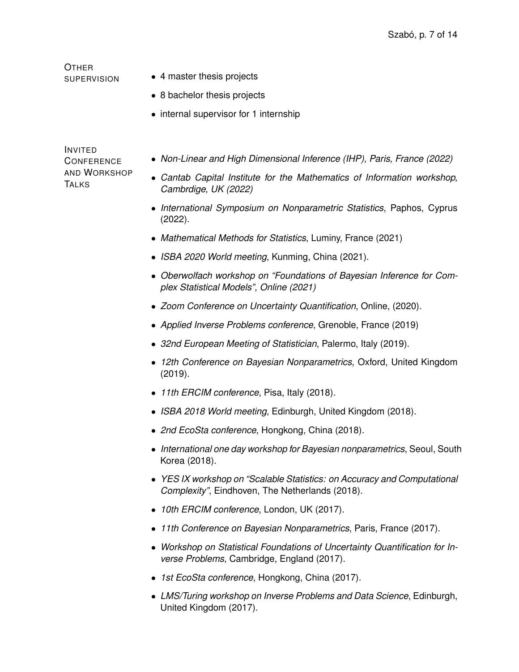**OTHER** 

- SUPERVISION 4 master thesis projects
	- 8 bachelor thesis projects
	- internal supervisor for 1 internship

INVITED **CONFERENCE** AND WORKSHOP **TALKS** 

- *Non-Linear and High Dimensional Inference (IHP), Paris, France (2022)*
- *Cantab Capital Institute for the Mathematics of Information workshop, Cambrdige, UK (2022)*
- *International Symposium on Nonparametric Statistics*, Paphos, Cyprus (2022).
- *Mathematical Methods for Statistics*, Luminy, France (2021)
- *ISBA 2020 World meeting*, Kunming, China (2021).
- *Oberwolfach workshop on "Foundations of Bayesian Inference for Complex Statistical Models", Online (2021)*
- *Zoom Conference on Uncertainty Quantification*, Online, (2020).
- *Applied Inverse Problems conference*, Grenoble, France (2019)
- *32nd European Meeting of Statistician*, Palermo, Italy (2019).
- *12th Conference on Bayesian Nonparametrics*, Oxford, United Kingdom (2019).
- *11th ERCIM conference*, Pisa, Italy (2018).
- *ISBA 2018 World meeting*, Edinburgh, United Kingdom (2018).
- *2nd EcoSta conference*, Hongkong, China (2018).
- *International one day workshop for Bayesian nonparametrics*, Seoul, South Korea (2018).
- *YES IX workshop on "Scalable Statistics: on Accuracy and Computational Complexity"*, Eindhoven, The Netherlands (2018).
- *10th ERCIM conference*, London, UK (2017).
- *11th Conference on Bayesian Nonparametrics*, Paris, France (2017).
- *Workshop on Statistical Foundations of Uncertainty Quantification for Inverse Problems*, Cambridge, England (2017).
- *1st EcoSta conference*, Hongkong, China (2017).
- *LMS/Turing workshop on Inverse Problems and Data Science*, Edinburgh, United Kingdom (2017).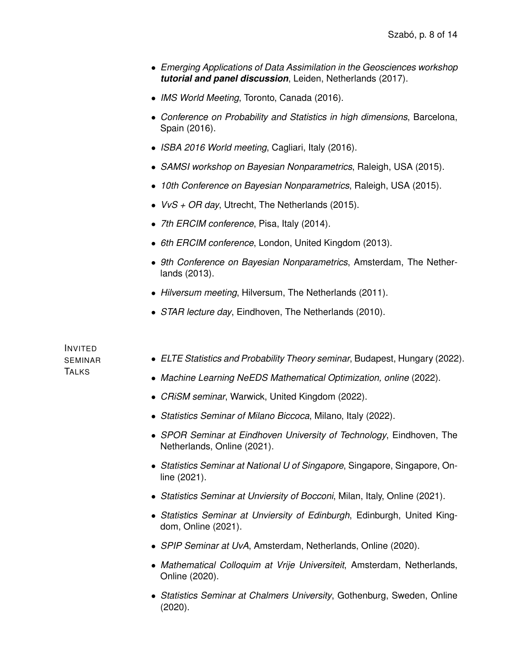- *Emerging Applications of Data Assimilation in the Geosciences workshop tutorial and panel discussion*, Leiden, Netherlands (2017).
- *IMS World Meeting*, Toronto, Canada (2016).
- *Conference on Probability and Statistics in high dimensions*, Barcelona, Spain (2016).
- *ISBA 2016 World meeting*, Cagliari, Italy (2016).
- *SAMSI workshop on Bayesian Nonparametrics*, Raleigh, USA (2015).
- *10th Conference on Bayesian Nonparametrics*, Raleigh, USA (2015).
- *VvS + OR day*, Utrecht, The Netherlands (2015).
- *7th ERCIM conference*, Pisa, Italy (2014).
- *6th ERCIM conference*, London, United Kingdom (2013).
- *9th Conference on Bayesian Nonparametrics*, Amsterdam, The Netherlands (2013).
- *Hilversum meeting*, Hilversum, The Netherlands (2011).
- *STAR lecture day*, Eindhoven, The Netherlands (2010).

INVITED SEMINAR **TALKS** 

- *ELTE Statistics and Probability Theory seminar*, Budapest, Hungary (2022).
- *Machine Learning NeEDS Mathematical Optimization, online* (2022).
- *CRiSM seminar*, Warwick, United Kingdom (2022).
- *Statistics Seminar of Milano Biccoca*, Milano, Italy (2022).
- *SPOR Seminar at Eindhoven University of Technology*, Eindhoven, The Netherlands, Online (2021).
- *Statistics Seminar at National U of Singapore*, Singapore, Singapore, Online (2021).
- *Statistics Seminar at Unviersity of Bocconi*, Milan, Italy, Online (2021).
- *Statistics Seminar at Unviersity of Edinburgh*, Edinburgh, United Kingdom, Online (2021).
- *SPIP Seminar at UvA*, Amsterdam, Netherlands, Online (2020).
- *Mathematical Colloquim at Vrije Universiteit*, Amsterdam, Netherlands, Online (2020).
- *Statistics Seminar at Chalmers University*, Gothenburg, Sweden, Online (2020).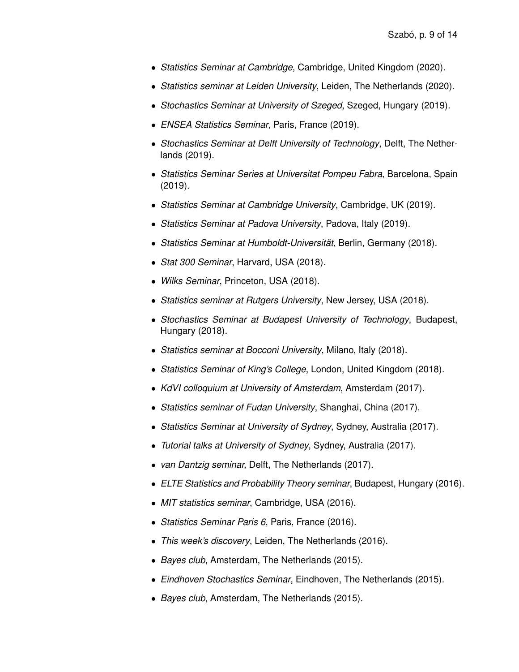- *Statistics Seminar at Cambridge*, Cambridge, United Kingdom (2020).
- *Statistics seminar at Leiden University*, Leiden, The Netherlands (2020).
- *Stochastics Seminar at University of Szeged*, Szeged, Hungary (2019).
- *ENSEA Statistics Seminar*, Paris, France (2019).
- *Stochastics Seminar at Delft University of Technology*, Delft, The Netherlands (2019).
- *Statistics Seminar Series at Universitat Pompeu Fabra*, Barcelona, Spain (2019).
- *Statistics Seminar at Cambridge University*, Cambridge, UK (2019).
- *Statistics Seminar at Padova University*, Padova, Italy (2019).
- *Statistics Seminar at Humboldt-Universität*, Berlin, Germany (2018).
- *Stat 300 Seminar*, Harvard, USA (2018).
- *Wilks Seminar*, Princeton, USA (2018).
- *Statistics seminar at Rutgers University*, New Jersey, USA (2018).
- *Stochastics Seminar at Budapest University of Technology*, Budapest, Hungary (2018).
- *Statistics seminar at Bocconi University*, Milano, Italy (2018).
- *Statistics Seminar of King's College*, London, United Kingdom (2018).
- *KdVI colloquium at University of Amsterdam*, Amsterdam (2017).
- *Statistics seminar of Fudan University*, Shanghai, China (2017).
- *Statistics Seminar at University of Sydney*, Sydney, Australia (2017).
- *Tutorial talks at University of Sydney*, Sydney, Australia (2017).
- *van Dantzig seminar,* Delft, The Netherlands (2017).
- *[ELTE Statistics and Probability Theory seminar](http://www.cs.elte.hu/~agnes/szeminar/)*, Budapest, Hungary (2016).
- *MIT statistics seminar*, Cambridge, USA (2016).
- *Statistics Seminar Paris 6*, Paris, France (2016).
- *This week's discovery*, Leiden, The Netherlands (2016).
- *Bayes club*, Amsterdam, The Netherlands (2015).
- *Eindhoven Stochastics Seminar*, Eindhoven, The Netherlands (2015).
- *Bayes club*, Amsterdam, The Netherlands (2015).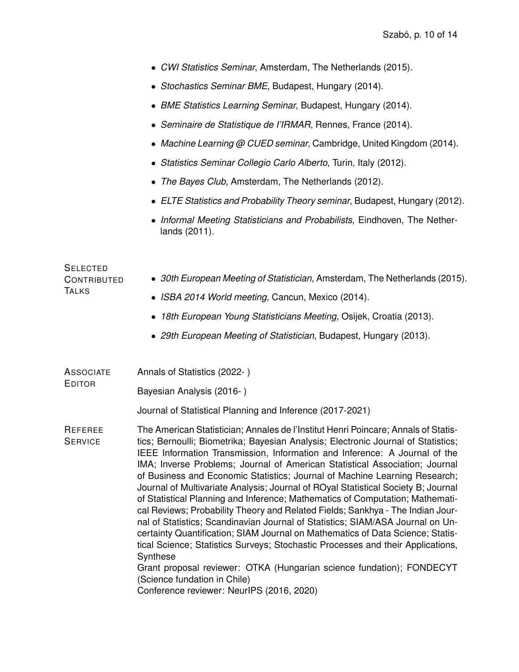|                                                       | • CWI Statistics Seminar, Amsterdam, The Netherlands (2015).                                                                                                                                                                                                                                                                                                                                                                                                                                                                                                                                                                                                                                                                                                                                                                                                                                                                                                                                                                                           |  |  |  |  |
|-------------------------------------------------------|--------------------------------------------------------------------------------------------------------------------------------------------------------------------------------------------------------------------------------------------------------------------------------------------------------------------------------------------------------------------------------------------------------------------------------------------------------------------------------------------------------------------------------------------------------------------------------------------------------------------------------------------------------------------------------------------------------------------------------------------------------------------------------------------------------------------------------------------------------------------------------------------------------------------------------------------------------------------------------------------------------------------------------------------------------|--|--|--|--|
|                                                       | • Stochastics Seminar BME, Budapest, Hungary (2014).                                                                                                                                                                                                                                                                                                                                                                                                                                                                                                                                                                                                                                                                                                                                                                                                                                                                                                                                                                                                   |  |  |  |  |
|                                                       | • BME Statistics Learning Seminar, Budapest, Hungary (2014).                                                                                                                                                                                                                                                                                                                                                                                                                                                                                                                                                                                                                                                                                                                                                                                                                                                                                                                                                                                           |  |  |  |  |
|                                                       | • Seminaire de Statistique de l'IRMAR, Rennes, France (2014).                                                                                                                                                                                                                                                                                                                                                                                                                                                                                                                                                                                                                                                                                                                                                                                                                                                                                                                                                                                          |  |  |  |  |
|                                                       | • Machine Learning @ CUED seminar, Cambridge, United Kingdom (2014).                                                                                                                                                                                                                                                                                                                                                                                                                                                                                                                                                                                                                                                                                                                                                                                                                                                                                                                                                                                   |  |  |  |  |
|                                                       | • Statistics Seminar Collegio Carlo Alberto, Turin, Italy (2012).                                                                                                                                                                                                                                                                                                                                                                                                                                                                                                                                                                                                                                                                                                                                                                                                                                                                                                                                                                                      |  |  |  |  |
|                                                       | The Bayes Club, Amsterdam, The Netherlands (2012).                                                                                                                                                                                                                                                                                                                                                                                                                                                                                                                                                                                                                                                                                                                                                                                                                                                                                                                                                                                                     |  |  |  |  |
|                                                       | • ELTE Statistics and Probability Theory seminar, Budapest, Hungary (2012).                                                                                                                                                                                                                                                                                                                                                                                                                                                                                                                                                                                                                                                                                                                                                                                                                                                                                                                                                                            |  |  |  |  |
|                                                       | Informal Meeting Statisticians and Probabilists, Eindhoven, The Nether-<br>lands (2011).                                                                                                                                                                                                                                                                                                                                                                                                                                                                                                                                                                                                                                                                                                                                                                                                                                                                                                                                                               |  |  |  |  |
| <b>SELECTED</b><br><b>CONTRIBUTED</b><br><b>TALKS</b> | • 30th European Meeting of Statistician, Amsterdam, The Netherlands (2015).<br>• ISBA 2014 World meeting, Cancun, Mexico (2014).<br>18th European Young Statisticians Meeting, Osijek, Croatia (2013).                                                                                                                                                                                                                                                                                                                                                                                                                                                                                                                                                                                                                                                                                                                                                                                                                                                 |  |  |  |  |
|                                                       |                                                                                                                                                                                                                                                                                                                                                                                                                                                                                                                                                                                                                                                                                                                                                                                                                                                                                                                                                                                                                                                        |  |  |  |  |
|                                                       | • 29th European Meeting of Statistician, Budapest, Hungary (2013).                                                                                                                                                                                                                                                                                                                                                                                                                                                                                                                                                                                                                                                                                                                                                                                                                                                                                                                                                                                     |  |  |  |  |
| <b>ASSOCIATE</b>                                      | Annals of Statistics (2022-)                                                                                                                                                                                                                                                                                                                                                                                                                                                                                                                                                                                                                                                                                                                                                                                                                                                                                                                                                                                                                           |  |  |  |  |
| <b>EDITOR</b>                                         | Bayesian Analysis (2016-)                                                                                                                                                                                                                                                                                                                                                                                                                                                                                                                                                                                                                                                                                                                                                                                                                                                                                                                                                                                                                              |  |  |  |  |
|                                                       | Journal of Statistical Planning and Inference (2017-2021)                                                                                                                                                                                                                                                                                                                                                                                                                                                                                                                                                                                                                                                                                                                                                                                                                                                                                                                                                                                              |  |  |  |  |
| REFEREE<br><b>SERVICE</b>                             | The American Statistician; Annales de l'Institut Henri Poincare; Annals of Statis-<br>tics; Bernoulli; Biometrika; Bayesian Analysis; Electronic Journal of Statistics;<br>IEEE Information Transmission, Information and Inference: A Journal of the<br>IMA; Inverse Problems; Journal of American Statistical Association; Journal<br>of Business and Economic Statistics; Journal of Machine Learning Research;<br>Journal of Multivariate Analysis; Journal of ROyal Statistical Society B; Journal<br>of Statistical Planning and Inference; Mathematics of Computation; Mathemati-<br>cal Reviews; Probability Theory and Related Fields; Sankhya - The Indian Jour-<br>nal of Statistics; Scandinavian Journal of Statistics; SIAM/ASA Journal on Un-<br>certainty Quantification; SIAM Journal on Mathematics of Data Science; Statis-<br>tical Science; Statistics Surveys; Stochastic Processes and their Applications,<br>Synthese<br>Grant proposal reviewer: OTKA (Hungarian science fundation); FONDECYT<br>(Science fundation in Chile) |  |  |  |  |
|                                                       | Conference reviewer: NeurlPS (2016, 2020)                                                                                                                                                                                                                                                                                                                                                                                                                                                                                                                                                                                                                                                                                                                                                                                                                                                                                                                                                                                                              |  |  |  |  |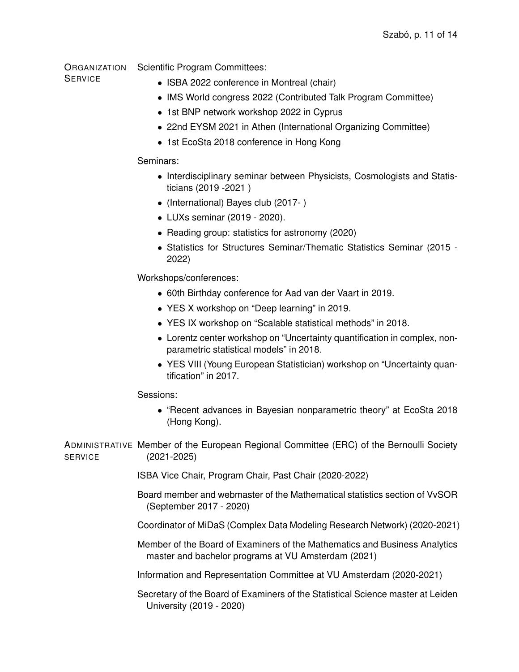**ORGANIZATION** Scientific Program Committees:

### **SERVICE**

- ISBA 2022 conference in Montreal (chair)
- IMS World congress 2022 (Contributed Talk Program Committee)
- 1st BNP network workshop 2022 in Cyprus
- 22nd EYSM 2021 in Athen (International Organizing Committee)
- 1st EcoSta 2018 conference in Hong Kong

### Seminars:

- Interdisciplinary seminar between Physicists, Cosmologists and Statisticians (2019 -2021 )
- (International) Bayes club (2017- )
- LUXs seminar (2019 2020).
- Reading group: statistics for astronomy (2020)
- Statistics for Structures Seminar/Thematic Statistics Seminar (2015 2022)

Workshops/conferences:

- 60th Birthday conference for Aad van der Vaart in 2019.
- YES X workshop on "Deep learning" in 2019.
- YES IX workshop on "Scalable statistical methods" in 2018.
- Lorentz center workshop on "Uncertainty quantification in complex, nonparametric statistical models" in 2018.
- YES VIII (Young European Statistician) workshop on "Uncertainty quantification" in 2017.

Sessions:

• "Recent advances in Bayesian nonparametric theory" at EcoSta 2018 (Hong Kong).

ADMINISTRATIVE Member of the European Regional Committee (ERC) of the Bernoulli Society **SERVICE** (2021-2025)

ISBA Vice Chair, Program Chair, Past Chair (2020-2022)

Board member and webmaster of the Mathematical statistics section of VvSOR (September 2017 - 2020)

Coordinator of [MiDaS](https://midas.mat.uc.cl/network/) (Complex Data Modeling Research Network) (2020-2021)

Member of the Board of Examiners of the Mathematics and Business Analytics master and bachelor programs at VU Amsterdam (2021)

Information and Representation Committee at VU Amsterdam (2020-2021)

Secretary of the Board of Examiners of the Statistical Science master at Leiden University (2019 - 2020)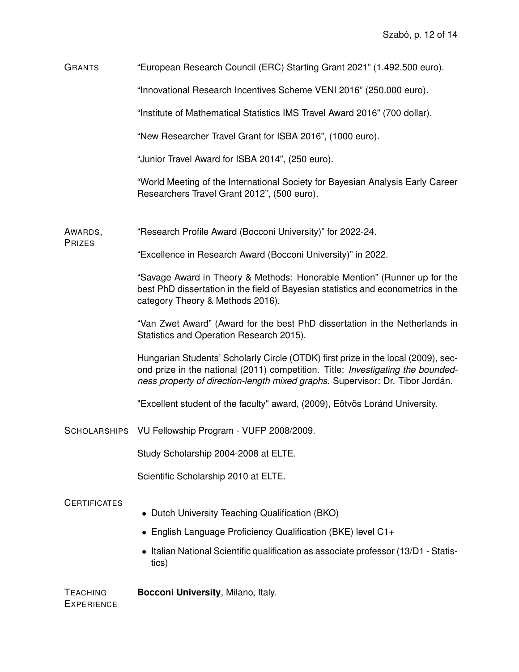GRANTS "European Research Council (ERC) Starting Grant 2021" (1.492.500 euro).

"Innovational Research Incentives Scheme VENI 2016" (250.000 euro).

"Institute of Mathematical Statistics IMS Travel Award 2016" (700 dollar).

"New Researcher Travel Grant for ISBA 2016", (1000 euro).

"Junior Travel Award for ISBA 2014", (250 euro).

"World Meeting of the International Society for Bayesian Analysis Early Career Researchers Travel Grant 2012", (500 euro).

AWARDS, "Research Profile Award (Bocconi University)" for 2022-24.

"Excellence in Research Award (Bocconi University)" in 2022.

"Savage Award in Theory & Methods: Honorable Mention" (Runner up for the best PhD dissertation in the field of Bayesian statistics and econometrics in the category Theory & Methods 2016).

"Van Zwet Award" (Award for the best PhD dissertation in the Netherlands in Statistics and Operation Research 2015).

Hungarian Students' Scholarly Circle (OTDK) [first prize in the local](http://www.cs.elte.hu/tdk/tdk09.html) (2009), [sec](http://otdkfifoma30.nyf.hu/downloads/otdk_elozetes_erdemenyek.pdf)[ond prize in the national](http://otdkfifoma30.nyf.hu/downloads/otdk_elozetes_erdemenyek.pdf) (2011) competition. Title: *Investigating the boundedness property of direction-length mixed graphs.* Supervisor: Dr. Tibor Jordán.

["Excellent student of the faculty" award,](http://ttkhok.elte.hu/pipermail/kepviselok/2009-April/006551.html) (2009), Eötvös Loránd University.

SCHOLARSHIPS VU Fellowship Program - VUFP 2008/2009.

Study Scholarship 2004-2008 at ELTE.

Scientific Scholarship 2010 at ELTE.

### **CERTIFICATES**

**PRIZES** 

- Dutch University Teaching Qualification (BKO)
- English Language Proficiency Qualification (BKE) level C1+
- Italian National Scientific qualification as associate professor (13/D1 Statistics)

TEACHING **EXPERIENCE [Bocconi University](http://www.unibocconi.it)**, Milano, Italy.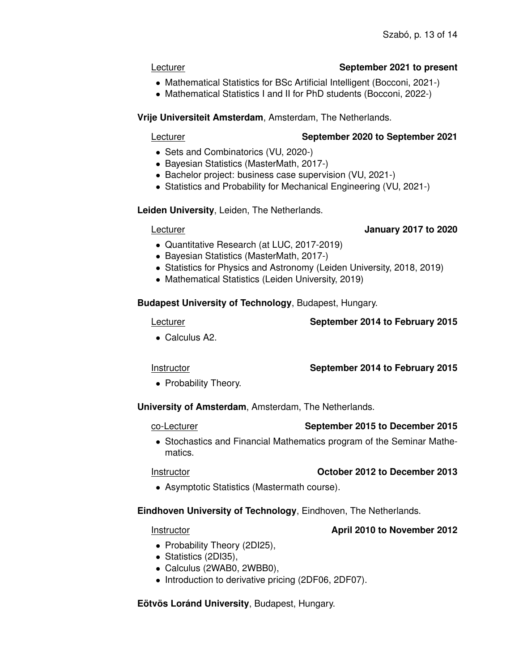### Lecturer **September 2021 to present**

- Mathematical Statistics for BSc Artificial Intelligent (Bocconi, 2021-)
- Mathematical Statistics I and II for PhD students (Bocconi, 2022-)

### **[Vrije Universiteit Amsterdam](http://www.vu.nl)**, Amsterdam, The Netherlands.

## Lecturer **September 2020 to September 2021**

- Sets and Combinatorics (VU, 2020-)
- Bayesian Statistics (MasterMath, 2017-)
- Bachelor project: business case supervision (VU, 2021-)
- Statistics and Probability for Mechanical Engineering (VU, 2021-)

**[Leiden University](http://www.leidenuniv.nl)**, Leiden, The Netherlands.

### Lecturer **January 2017 to 2020**

- Quantitative Research (at LUC, 2017-2019)
- Bayesian Statistics (MasterMath, 2017-)
- Statistics for Physics and Astronomy (Leiden University, 2018, 2019)
- Mathematical Statistics (Leiden University, 2019)

## **[Budapest University of Technology](http://www.bme.hu)**, Budapest, Hungary.

## Lecturer **September 2014 to February 2015**

• Calculus A2.

## Instructor **September 2014 to February 2015**

• Probability Theory.

**[University of Amsterdam](http://www.uva.nl)**, Amsterdam, The Netherlands.

## co-Lecturer **September 2015 to December 2015**

• Stochastics and Financial Mathematics program of the Seminar Mathematics.

# Instructor **October 2012 to December 2013**

• Asymptotic Statistics (Mastermath course).

## **[Eindhoven University of Technology](http://www.tue.nl)**, Eindhoven, The Netherlands.

## Instructor **April 2010 to November 2012**

- Probability Theory (2DI25),
- Statistics (2DI35),
- Calculus (2WAB0, 2WBB0),
- Introduction to derivative pricing (2DF06, 2DF07).

## **[Eötvös Loránd University](http://www.elte.hu/)**, Budapest, Hungary.